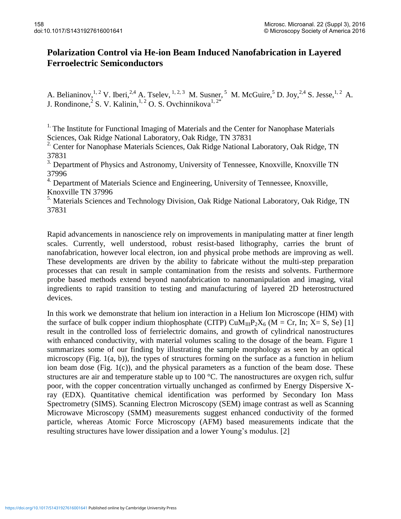## **Polarization Control via He-ion Beam Induced Nanofabrication in Layered Ferroelectric Semiconductors**

A. Belianinov, <sup>1, 2</sup> V. Iberi, <sup>2, 4</sup> A. Tselev, <sup>1, 2, 3</sup> M. Susner, <sup>5</sup> M. McGuire, <sup>5</sup> D. Joy, <sup>2, 4</sup> S. Jesse, <sup>1, 2</sup> A. J. Rondinone,  $2^{\circ}$  S. V. Kalinin,  $1, 2^{\circ}$  O. S. Ovchinnikova $1, 2^*$ 

<sup>1.</sup> The Institute for Functional Imaging of Materials and the Center for Nanophase Materials Sciences, Oak Ridge National Laboratory, Oak Ridge, TN 37831

<sup>2.</sup> Center for Nanophase Materials Sciences, Oak Ridge National Laboratory, Oak Ridge, TN 37831

<sup>3.</sup> Department of Physics and Astronomy, University of Tennessee, Knoxville, Knoxville TN 37996

<sup>4.</sup> Department of Materials Science and Engineering, University of Tennessee, Knoxville, Knoxville TN 37996

<sup>5.</sup> Materials Sciences and Technology Division, Oak Ridge National Laboratory, Oak Ridge, TN 37831

Rapid advancements in nanoscience rely on improvements in manipulating matter at finer length scales. Currently, well understood, robust resist-based lithography, carries the brunt of nanofabrication, however local electron, ion and physical probe methods are improving as well. These developments are driven by the ability to fabricate without the multi-step preparation processes that can result in sample contamination from the resists and solvents. Furthermore probe based methods extend beyond nanofabrication to nanomanipulation and imaging, vital ingredients to rapid transition to testing and manufacturing of layered 2D heterostructured devices.

In this work we demonstrate that helium ion interaction in a Helium Ion Microscope (HIM) with the surface of bulk copper indium thiophosphate (CITP)  $CuM_{III}P_2X_6$  (M = Cr, In; X= S, Se) [1] result in the controlled loss of ferrielectric domains, and growth of cylindrical nanostructures with enhanced conductivity, with material volumes scaling to the dosage of the beam. Figure 1 summarizes some of our finding by illustrating the sample morphology as seen by an optical microscopy (Fig. 1(a, b)), the types of structures forming on the surface as a function in helium ion beam dose (Fig. 1(c)), and the physical parameters as a function of the beam dose. These structures are air and temperature stable up to 100 °C. The nanostructures are oxygen rich, sulfur poor, with the copper concentration virtually unchanged as confirmed by Energy Dispersive Xray (EDX). Quantitative chemical identification was performed by Secondary Ion Mass Spectrometry (SIMS). Scanning Electron Microscopy (SEM) image contrast as well as Scanning Microwave Microscopy (SMM) measurements suggest enhanced conductivity of the formed particle, whereas Atomic Force Microscopy (AFM) based measurements indicate that the resulting structures have lower dissipation and a lower Young's modulus. [2]